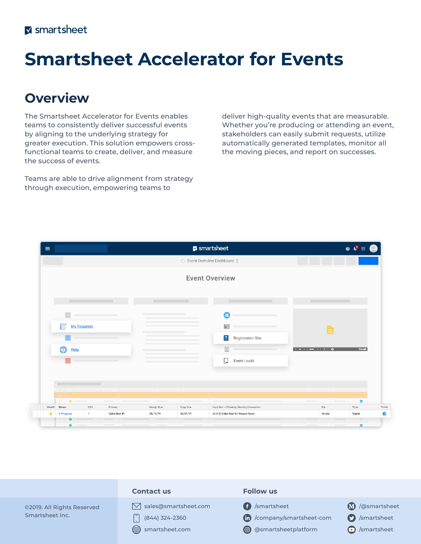# **Smartsheet Accelerator for Events**

## **Overview**

The Smartsheet Accelerator for Events enables teams to consistently deliver successful events by aligning to the underlying strategy for greater execution. This solution empowers crossfunctional teams to create, deliver, and measure the success of events.

Teams are able to drive alignment from strategy through execution, empowering teams to

deliver high-quality events that are measurable. Whether you're producing or attending an event, stakeholders can easily submit requests, utilize automatically generated templates, monitor all the moving pieces, and report on successes.